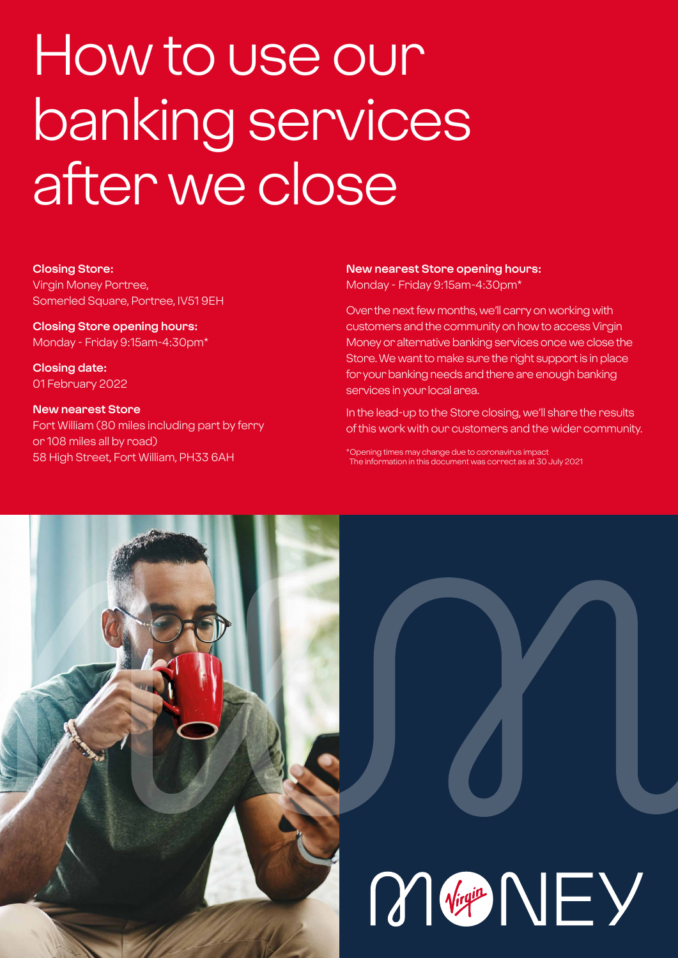## How to use our banking services after we close

#### **Closing Store:**

Virgin Money Portree, Somerled Square, Portree, IV51 9EH

**Closing Store opening hours:**  Monday - Friday 9:15am-4:30pm\*

**Closing date:**  01 February 2022

#### **New nearest Store**

Fort William (80 miles including part by ferry or 108 miles all by road) 58 High Street, Fort William, PH33 6AH

#### **New nearest Store opening hours:** Monday - Friday 9:15am-4:30pm\*

Over the next few months, we'll carry on working with customers and the community on how to access Virgin Money or alternative banking services once we close the Store. We want to make sure the right support is in place for your banking needs and there are enough banking services in your local area.

In the lead-up to the Store closing, we'll share the results of this work with our customers and the wider community.

\*Opening times may change due to coronavirus impact The information in this document was correct as at 30 July 2021



# M<sub>Vigit</sub> NEY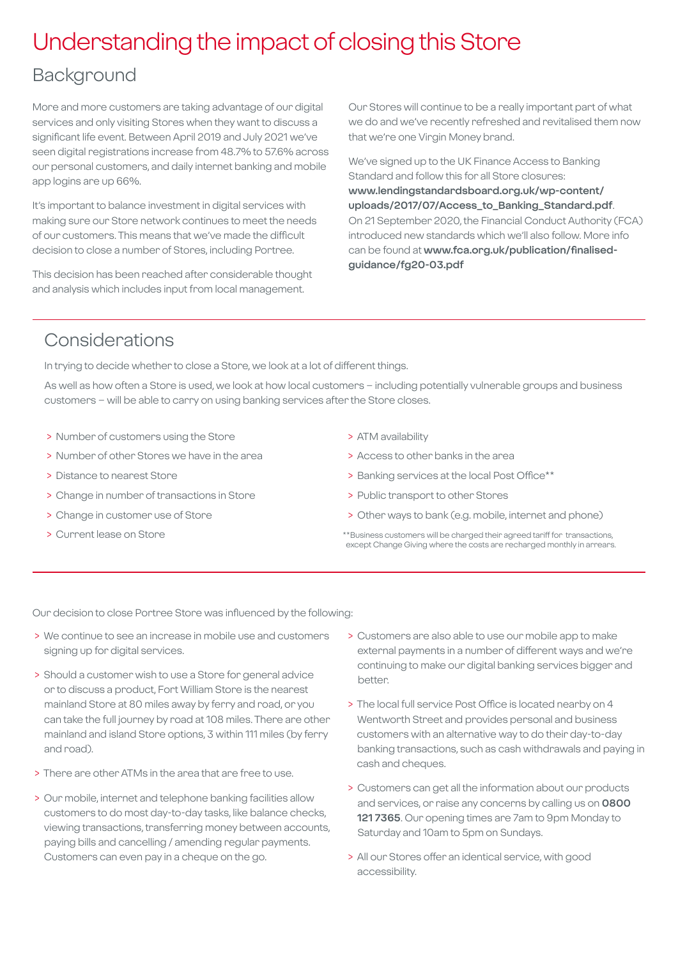## Understanding the impact of closing this Store

### **Background**

More and more customers are taking advantage of our digital services and only visiting Stores when they want to discuss a significant life event. Between April 2019 and July 2021 we've seen digital registrations increase from 48.7% to 57.6% across our personal customers, and daily internet banking and mobile app logins are up 66%.

It's important to balance investment in digital services with making sure our Store network continues to meet the needs of our customers. This means that we've made the difficult decision to close a number of Stores, including Portree.

This decision has been reached after considerable thought and analysis which includes input from local management.

Our Stores will continue to be a really important part of what we do and we've recently refreshed and revitalised them now that we're one Virgin Money brand.

We've signed up to the UK Finance Access to Banking Standard and follow this for all Store closures: **[www.lendingstandardsboard.org.uk/wp-content/](http://www.lendingstandardsboard.org.uk/wp-content/uploads/2017/07/Access_to_Banking_Standard.pdf) [uploads/2017/07/Access\\_to\\_Banking\\_Standard.pdf](http://www.lendingstandardsboard.org.uk/wp-content/uploads/2017/07/Access_to_Banking_Standard.pdf)**. On 21 September 2020, the Financial Conduct Authority (FCA) introduced new standards which we'll also follow. More info can be found at **[www.fca.org.uk/publication/finalised](http://www.fca.org.uk/publication/finalised-guidance/fg20-03.pdf)[guidance/fg20-03.pdf](http://www.fca.org.uk/publication/finalised-guidance/fg20-03.pdf)**

## Considerations

In trying to decide whether to close a Store, we look at a lot of different things.

As well as how often a Store is used, we look at how local customers – including potentially vulnerable groups and business customers – will be able to carry on using banking services after the Store closes.

- > Number of customers using the Store
- > Number of other Stores we have in the area
- > Distance to nearest Store
- > Change in number of transactions in Store
- > Change in customer use of Store
- > Current lease on Store
- > ATM availability
- > Access to other banks in the area
- > Banking services at the local Post Office\*\*
- > Public transport to other Stores
- > Other ways to bank (e.g. mobile, internet and phone)
- \*\*Business customers will be charged their agreed tariff for transactions, except Change Giving where the costs are recharged monthly in arrears.

Our decision to close Portree Store was influenced by the following:

- > We continue to see an increase in mobile use and customers signing up for digital services.
- > Should a customer wish to use a Store for general advice or to discuss a product, Fort William Store is the nearest mainland Store at 80 miles away by ferry and road, or you can take the full journey by road at 108 miles. There are other mainland and island Store options, 3 within 111 miles (by ferry and road).
- > There are other ATMs in the area that are free to use.
- > Our mobile, internet and telephone banking facilities allow customers to do most day-to-day tasks, like balance checks, viewing transactions, transferring money between accounts, paying bills and cancelling / amending regular payments. Customers can even pay in a cheque on the go.
- > Customers are also able to use our mobile app to make external payments in a number of different ways and we're continuing to make our digital banking services bigger and better.
- > The local full service Post Office is located nearby on 4 Wentworth Street and provides personal and business customers with an alternative way to do their day-to-day banking transactions, such as cash withdrawals and paying in cash and cheques.
- > Customers can get all the information about our products and services, or raise any concerns by calling us on **0800 121 7365**. Our opening times are 7am to 9pm Monday to Saturday and 10am to 5pm on Sundays.
- > All our Stores offer an identical service, with good accessibility.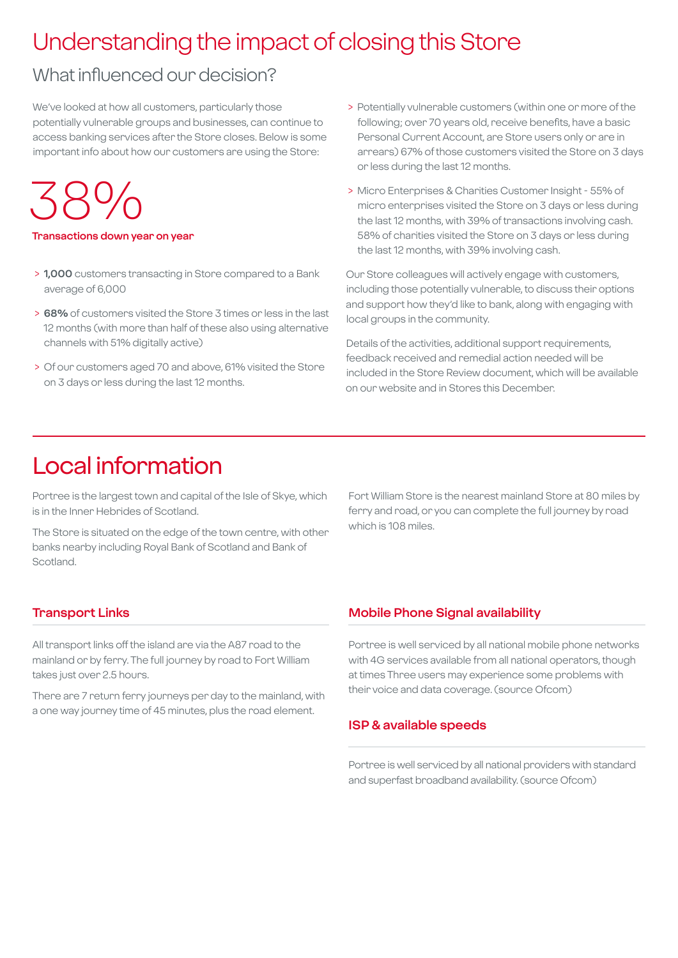## Understanding the impact of closing this Store

## What influenced our decision?

We've looked at how all customers, particularly those potentially vulnerable groups and businesses, can continue to access banking services after the Store closes. Below is some important info about how our customers are using the Store:

38%

#### **Transactions down year on year**

- > **1,000** customers transacting in Store compared to a Bank average of 6,000
- > **68%** of customers visited the Store 3 times or less in the last 12 months (with more than half of these also using alternative channels with 51% digitally active)
- > Of our customers aged 70 and above, 61% visited the Store on 3 days or less during the last 12 months.
- > Potentially vulnerable customers (within one or more of the following; over 70 years old, receive benefits, have a basic Personal Current Account, are Store users only or are in arrears) 67% of those customers visited the Store on 3 days or less during the last 12 months.
- > Micro Enterprises & Charities Customer Insight 55% of micro enterprises visited the Store on 3 days or less during the last 12 months, with 39% of transactions involving cash. 58% of charities visited the Store on 3 days or less during the last 12 months, with 39% involving cash.

Our Store colleagues will actively engage with customers, including those potentially vulnerable, to discuss their options and support how they'd like to bank, along with engaging with local groups in the community.

Details of the activities, additional support requirements, feedback received and remedial action needed will be included in the Store Review document, which will be available on our website and in Stores this December.

## Local information

Portree is the largest town and capital of the Isle of Skye, which is in the Inner Hebrides of Scotland.

The Store is situated on the edge of the town centre, with other banks nearby including Royal Bank of Scotland and Bank of Scotland.

Fort William Store is the nearest mainland Store at 80 miles by ferry and road, or you can complete the full journey by road which is 108 miles.

#### **Transport Links**

All transport links off the island are via the A87 road to the mainland or by ferry. The full journey by road to Fort William takes just over 2.5 hours.

There are 7 return ferry journeys per day to the mainland, with a one way journey time of 45 minutes, plus the road element.

#### **Mobile Phone Signal availability**

Portree is well serviced by all national mobile phone networks with 4G services available from all national operators, though at times Three users may experience some problems with their voice and data coverage. (source Ofcom)

#### **ISP & available speeds**

Portree is well serviced by all national providers with standard and superfast broadband availability. (source Ofcom)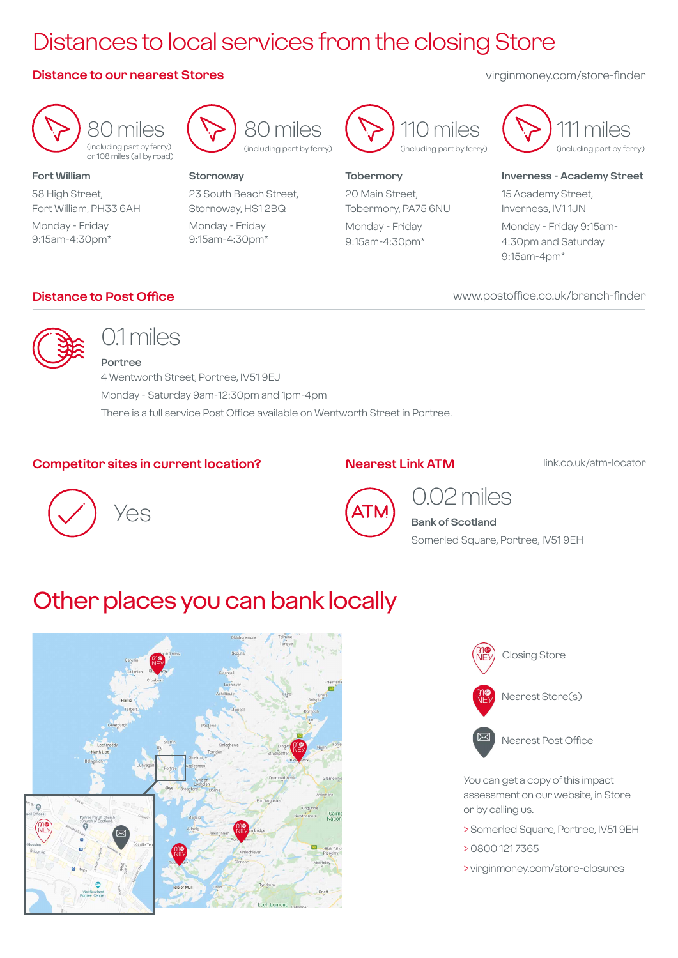## Distances to local services from the closing Store

#### **Distance to our nearest Stores** virginmoney.com/store-finder

80 miles (including part by ferry) or 108 miles (all by road)

**Fort William** 58 High Street, Fort William, PH33 6AH

Monday - Friday 9:15am-4:30pm\*



#### **Stornoway**

23 South Beach Street, Stornoway, HS1 2BQ Monday - Friday 9:15am-4:30pm\*



#### **Tobermory**

20 Main Street, Tobermory, PA75 6NU Monday - Friday 9:15am-4:30pm\*



#### **Inverness - Academy Street**

15 Academy Street, Inverness, IV1 1JN Monday - Friday 9:15am-4:30pm and Saturday 9:15am-4pm\*

www.postoffice.co.uk/branch-finder

#### **Distance to Post Office**



## 0.1 miles

**Portree** 4 Wentworth Street, Portree, IV51 9EJ Monday - Saturday 9am-12:30pm and 1pm-4pm There is a full service Post Office available on Wentworth Street in Portree.

#### **Competitor sites in current location?**

#### **Nearest Link ATM**

link.co.uk/atm-locator





## 0.02 miles

**Bank of Scotland** Somerled Square, Portree, IV51 9EH

## Other places you can bank locally





Nearest Post Office

You can get a copy of this impact assessment on our website, in Store or by calling us.

- > Somerled Square, Portree, IV51 9EH
- > 0800 121 7365
- > virginmoney.com/store-closures